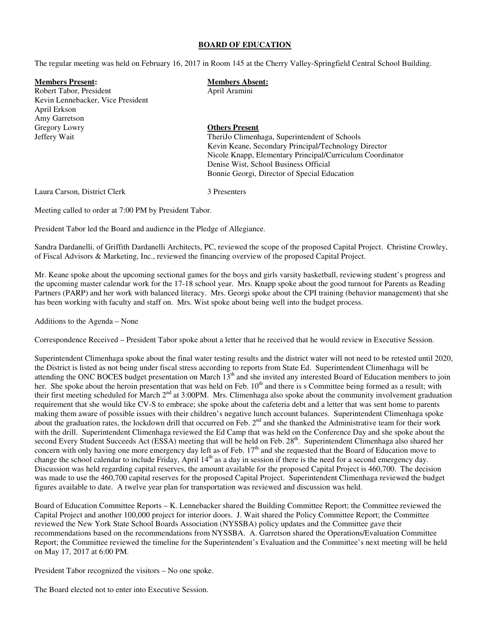#### **BOARD OF EDUCATION**

The regular meeting was held on February 16, 2017 in Room 145 at the Cherry Valley-Springfield Central School Building.

| <b>Members Present:</b>           | <b>Members Absent:</b>                                    |
|-----------------------------------|-----------------------------------------------------------|
| Robert Tabor, President           | April Aramini                                             |
| Kevin Lennebacker, Vice President |                                                           |
| April Erkson                      |                                                           |
| Amy Garretson                     |                                                           |
| Gregory Lowry                     | <b>Others Present</b>                                     |
| Jeffery Wait                      | TheriJo Climenhaga, Superintendent of Schools             |
|                                   | Kevin Keane, Secondary Principal/Technology Director      |
|                                   | Nicole Knapp, Elementary Principal/Curriculum Coordinator |
|                                   | Denise Wist, School Business Official                     |
|                                   | Bonnie Georgi, Director of Special Education              |
| Laura Carson, District Clerk      | 3 Presenters                                              |

Meeting called to order at 7:00 PM by President Tabor.

President Tabor led the Board and audience in the Pledge of Allegiance.

Sandra Dardanelli, of Griffith Dardanelli Architects, PC, reviewed the scope of the proposed Capital Project. Christine Crowley, of Fiscal Advisors & Marketing, Inc., reviewed the financing overview of the proposed Capital Project.

Mr. Keane spoke about the upcoming sectional games for the boys and girls varsity basketball, reviewing student's progress and the upcoming master calendar work for the 17-18 school year. Mrs. Knapp spoke about the good turnout for Parents as Reading Partners (PARP) and her work with balanced literacy. Mrs. Georgi spoke about the CPI training (behavior management) that she has been working with faculty and staff on. Mrs. Wist spoke about being well into the budget process.

Additions to the Agenda – None

Correspondence Received – President Tabor spoke about a letter that he received that he would review in Executive Session.

Superintendent Climenhaga spoke about the final water testing results and the district water will not need to be retested until 2020, the District is listed as not being under fiscal stress according to reports from State Ed. Superintendent Climenhaga will be attending the ONC BOCES budget presentation on March 13<sup>th</sup> and she invited any interested Board of Education members to join her. She spoke about the heroin presentation that was held on Feb.  $10<sup>th</sup>$  and there is s Committee being formed as a result; with their first meeting scheduled for March  $2<sup>nd</sup>$  at 3:00PM. Mrs. Climenhaga also spoke about the community involvement graduation requirement that she would like CV-S to embrace; she spoke about the cafeteria debt and a letter that was sent home to parents making them aware of possible issues with their children's negative lunch account balances. Superintendent Climenhaga spoke about the graduation rates, the lockdown drill that occurred on Feb.  $2<sup>nd</sup>$  and she thanked the Administrative team for their work with the drill. Superintendent Climenhaga reviewed the Ed Camp that was held on the Conference Day and she spoke about the second Every Student Succeeds Act (ESSA) meeting that will be held on Feb. 28<sup>th</sup>. Superintendent Climenhaga also shared her concern with only having one more emergency day left as of Feb.  $17<sup>th</sup>$  and she requested that the Board of Education move to change the school calendar to include Friday, April 14<sup>th</sup> as a day in session if there is the need for a second emergency day. Discussion was held regarding capital reserves, the amount available for the proposed Capital Project is 460,700. The decision was made to use the 460,700 capital reserves for the proposed Capital Project. Superintendent Climenhaga reviewed the budget figures available to date. A twelve year plan for transportation was reviewed and discussion was held.

Board of Education Committee Reports – K. Lennebacker shared the Building Committee Report; the Committee reviewed the Capital Project and another 100,000 project for interior doors. J. Wait shared the Policy Committee Report; the Committee reviewed the New York State School Boards Association (NYSSBA) policy updates and the Committee gave their recommendations based on the recommendations from NYSSBA. A. Garretson shared the Operations/Evaluation Committee Report; the Committee reviewed the timeline for the Superintendent's Evaluation and the Committee's next meeting will be held on May 17, 2017 at 6:00 PM.

President Tabor recognized the visitors – No one spoke.

The Board elected not to enter into Executive Session.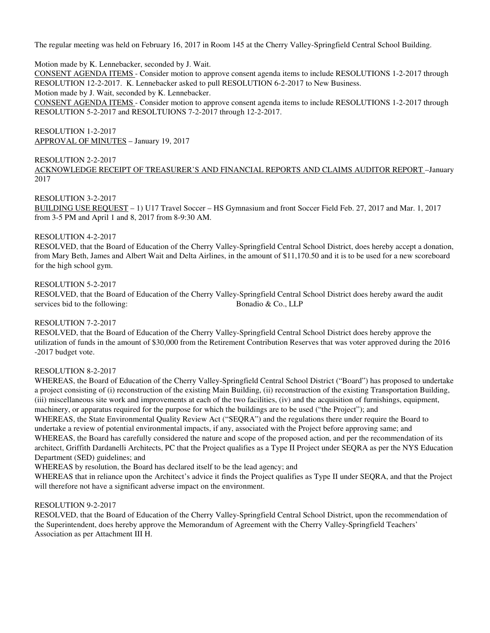The regular meeting was held on February 16, 2017 in Room 145 at the Cherry Valley-Springfield Central School Building.

### Motion made by K. Lennebacker, seconded by J. Wait.

CONSENT AGENDA ITEMS - Consider motion to approve consent agenda items to include RESOLUTIONS 1-2-2017 through RESOLUTION 12-2-2017. K. Lennebacker asked to pull RESOLUTION 6-2-2017 to New Business.

Motion made by J. Wait, seconded by K. Lennebacker.

CONSENT AGENDA ITEMS - Consider motion to approve consent agenda items to include RESOLUTIONS 1-2-2017 through RESOLUTION 5-2-2017 and RESOLTUIONS 7-2-2017 through 12-2-2017.

## RESOLUTION 1-2-2017 APPROVAL OF MINUTES – January 19, 2017

## RESOLUTION 2-2-2017

ACKNOWLEDGE RECEIPT OF TREASURER'S AND FINANCIAL REPORTS AND CLAIMS AUDITOR REPORT –January 2017

## RESOLUTION 3-2-2017

BUILDING USE REQUEST – 1) U17 Travel Soccer – HS Gymnasium and front Soccer Field Feb. 27, 2017 and Mar. 1, 2017 from 3-5 PM and April 1 and 8, 2017 from 8-9:30 AM.

### RESOLUTION 4-2-2017

RESOLVED, that the Board of Education of the Cherry Valley-Springfield Central School District, does hereby accept a donation, from Mary Beth, James and Albert Wait and Delta Airlines, in the amount of \$11,170.50 and it is to be used for a new scoreboard for the high school gym.

### RESOLUTION 5-2-2017

RESOLVED, that the Board of Education of the Cherry Valley-Springfield Central School District does hereby award the audit services bid to the following: Bonadio & Co., LLP

### RESOLUTION 7-2-2017

RESOLVED, that the Board of Education of the Cherry Valley-Springfield Central School District does hereby approve the utilization of funds in the amount of \$30,000 from the Retirement Contribution Reserves that was voter approved during the 2016 -2017 budget vote.

## RESOLUTION 8-2-2017

WHEREAS, the Board of Education of the Cherry Valley-Springfield Central School District ("Board") has proposed to undertake a project consisting of (i) reconstruction of the existing Main Building, (ii) reconstruction of the existing Transportation Building, (iii) miscellaneous site work and improvements at each of the two facilities, (iv) and the acquisition of furnishings, equipment, machinery, or apparatus required for the purpose for which the buildings are to be used ("the Project"); and WHEREAS, the State Environmental Quality Review Act ("SEQRA") and the regulations there under require the Board to undertake a review of potential environmental impacts, if any, associated with the Project before approving same; and WHEREAS, the Board has carefully considered the nature and scope of the proposed action, and per the recommendation of its architect, Griffith Dardanelli Architects, PC that the Project qualifies as a Type II Project under SEQRA as per the NYS Education Department (SED) guidelines; and

WHEREAS by resolution, the Board has declared itself to be the lead agency; and

WHEREAS that in reliance upon the Architect's advice it finds the Project qualifies as Type II under SEQRA, and that the Project will therefore not have a significant adverse impact on the environment.

## RESOLUTION 9-2-2017

RESOLVED, that the Board of Education of the Cherry Valley-Springfield Central School District, upon the recommendation of the Superintendent, does hereby approve the Memorandum of Agreement with the Cherry Valley-Springfield Teachers' Association as per Attachment III H.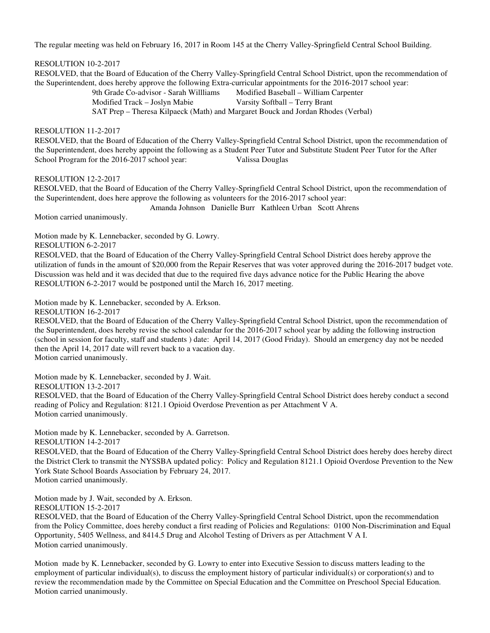The regular meeting was held on February 16, 2017 in Room 145 at the Cherry Valley-Springfield Central School Building.

# RESOLUTION 10-2-2017

 RESOLVED, that the Board of Education of the Cherry Valley-Springfield Central School District, upon the recommendation of the Superintendent, does hereby approve the following Extra-curricular appointments for the 2016-2017 school year:

9th Grade Co-advisor - Sarah Willliams Modified Baseball – William Carpenter Modified Track – Joslyn Mabie Varsity Softball – Terry Brant SAT Prep – Theresa Kilpaeck (Math) and Margaret Bouck and Jordan Rhodes (Verbal)

### RESOLUTION 11-2-2017

 RESOLVED, that the Board of Education of the Cherry Valley-Springfield Central School District, upon the recommendation of the Superintendent, does hereby appoint the following as a Student Peer Tutor and Substitute Student Peer Tutor for the After School Program for the 2016-2017 school year: Valissa Douglas

RESOLUTION 12-2-2017

 RESOLVED, that the Board of Education of the Cherry Valley-Springfield Central School District, upon the recommendation of the Superintendent, does here approve the following as volunteers for the 2016-2017 school year:

Amanda Johnson Danielle Burr Kathleen Urban Scott Ahrens

Motion carried unanimously.

Motion made by K. Lennebacker, seconded by G. Lowry.

RESOLUTION 6-2-2017

RESOLVED, that the Board of Education of the Cherry Valley-Springfield Central School District does hereby approve the utilization of funds in the amount of \$20,000 from the Repair Reserves that was voter approved during the 2016-2017 budget vote. Discussion was held and it was decided that due to the required five days advance notice for the Public Hearing the above RESOLUTION 6-2-2017 would be postponed until the March 16, 2017 meeting.

Motion made by K. Lennebacker, seconded by A. Erkson.

RESOLUTION 16-2-2017

RESOLVED, that the Board of Education of the Cherry Valley-Springfield Central School District, upon the recommendation of the Superintendent, does hereby revise the school calendar for the 2016-2017 school year by adding the following instruction (school in session for faculty, staff and students ) date: April 14, 2017 (Good Friday). Should an emergency day not be needed then the April 14, 2017 date will revert back to a vacation day. Motion carried unanimously.

Motion made by K. Lennebacker, seconded by J. Wait.

RESOLUTION 13-2-2017

RESOLVED, that the Board of Education of the Cherry Valley-Springfield Central School District does hereby conduct a second reading of Policy and Regulation: 8121.1 Opioid Overdose Prevention as per Attachment V A. Motion carried unanimously.

Motion made by K. Lennebacker, seconded by A. Garretson. RESOLUTION 14-2-2017

RESOLVED, that the Board of Education of the Cherry Valley-Springfield Central School District does hereby does hereby direct the District Clerk to transmit the NYSSBA updated policy: Policy and Regulation 8121.1 Opioid Overdose Prevention to the New York State School Boards Association by February 24, 2017. Motion carried unanimously.

Motion made by J. Wait, seconded by A. Erkson. RESOLUTION 15-2-2017

RESOLVED, that the Board of Education of the Cherry Valley-Springfield Central School District, upon the recommendation from the Policy Committee, does hereby conduct a first reading of Policies and Regulations: 0100 Non-Discrimination and Equal Opportunity, 5405 Wellness, and 8414.5 Drug and Alcohol Testing of Drivers as per Attachment V A I. Motion carried unanimously.

Motion made by K. Lennebacker, seconded by G. Lowry to enter into Executive Session to discuss matters leading to the employment of particular individual(s), to discuss the employment history of particular individual(s) or corporation(s) and to review the recommendation made by the Committee on Special Education and the Committee on Preschool Special Education. Motion carried unanimously.